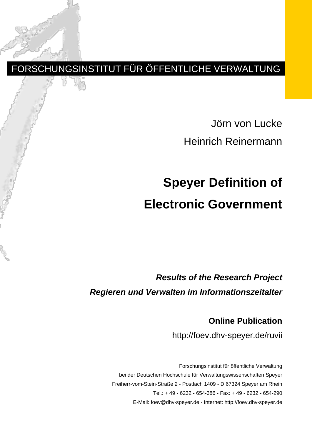## FORSCHUNGSINSTITUT FÜR ÖFFENTLICHE VERWALTUNG

Jörn von Lucke Heinrich Reinermann

# **Speyer Definition of Electronic Government**

*Results of the Research Project Regieren und Verwalten im Informationszeitalter*

> **Online Publication** http://foev.dhv-speyer.de/ruvii

Forschungsinstitut für öffentliche Verwaltung bei der Deutschen Hochschule für Verwaltungswissenschaften Speyer Freiherr-vom-Stein-Straße 2 - Postfach 1409 - D 67324 Speyer am Rhein Tel.: + 49 - 6232 - 654-386 - Fax: + 49 - 6232 - 654-290 E-Mail: foev@dhv-speyer.de - Internet: http://foev.dhv-speyer.de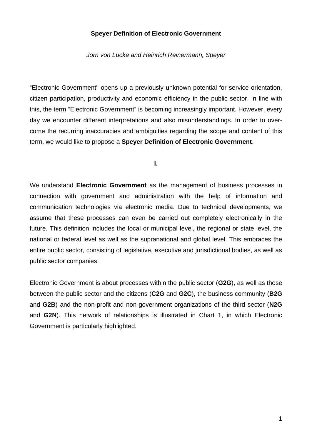#### **Speyer Definition of Electronic Government**

*Jörn von Lucke and Heinrich Reinermann, Speyer*

"Electronic Government" opens up a previously unknown potential for service orientation, citizen participation, productivity and economic efficiency in the public sector. In line with this, the term "Electronic Government" is becoming increasingly important. However, every day we encounter different interpretations and also misunderstandings. In order to overcome the recurring inaccuracies and ambiguities regarding the scope and content of this term, we would like to propose a **Speyer Definition of Electronic Government**.

**I.**

We understand **Electronic Government** as the management of business processes in connection with government and administration with the help of information and communication technologies via electronic media. Due to technical developments, we assume that these processes can even be carried out completely electronically in the future. This definition includes the local or municipal level, the regional or state level, the national or federal level as well as the supranational and global level. This embraces the entire public sector, consisting of legislative, executive and jurisdictional bodies, as well as public sector companies.

Electronic Government is about processes within the public sector (**G2G**), as well as those between the public sector and the citizens (**C2G** and **G2C**), the business community (**B2G** and **G2B**) and the non-profit and non-government organizations of the third sector (**N2G** and **G2N**). This network of relationships is illustrated in Chart 1, in which Electronic Government is particularly highlighted.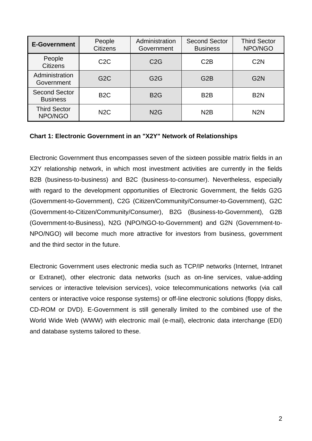| <b>E-Government</b>                     | People<br><b>Citizens</b> | Administration<br>Government | <b>Second Sector</b><br><b>Business</b> | <b>Third Sector</b><br>NPO/NGO |
|-----------------------------------------|---------------------------|------------------------------|-----------------------------------------|--------------------------------|
| People<br><b>Citizens</b>               | C <sub>2</sub> C          | C2G                          | C2B                                     | C <sub>2</sub> N               |
| Administration<br>Government            | G <sub>2</sub> C          | G <sub>2</sub> G             | G <sub>2</sub> B                        | G <sub>2</sub> N               |
| <b>Second Sector</b><br><b>Business</b> | B <sub>2</sub> C          | <b>B2G</b>                   | B <sub>2</sub> B                        | B <sub>2</sub> N               |
| <b>Third Sector</b><br>NPO/NGO          | N <sub>2</sub> C          | N <sub>2</sub> G             | N2B                                     | N <sub>2</sub> N               |

#### **Chart 1: Electronic Government in an "X2Y" Network of Relationships**

Electronic Government thus encompasses seven of the sixteen possible matrix fields in an X2Y relationship network, in which most investment activities are currently in the fields B2B (business-to-business) and B2C (business-to-consumer). Nevertheless, especially with regard to the development opportunities of Electronic Government, the fields G2G (Government-to-Government), C2G (Citizen/Community/Consumer-to-Government), G2C (Government-to-Citizen/Community/Consumer), B2G (Business-to-Government), G2B (Government-to-Business), N2G (NPO/NGO-to-Government) and G2N (Government-to-NPO/NGO) will become much more attractive for investors from business, government and the third sector in the future.

Electronic Government uses electronic media such as TCP/IP networks (Internet, Intranet or Extranet), other electronic data networks (such as on-line services, value-adding services or interactive television services), voice telecommunications networks (via call centers or interactive voice response systems) or off-line electronic solutions (floppy disks, CD-ROM or DVD). E-Government is still generally limited to the combined use of the World Wide Web (WWW) with electronic mail (e-mail), electronic data interchange (EDI) and database systems tailored to these.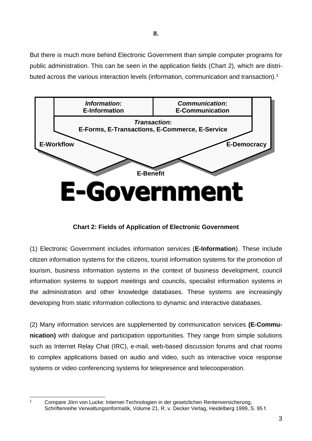But there is much more behind Electronic Government than simple computer programs for public administration. This can be seen in the application fields (Chart 2), which are distributed across the various interaction levels (information, communication and transaction).<sup>1</sup>



**Chart 2: Fields of Application of Electronic Government**

(1) Electronic Government includes information services (**E-Information**). These include citizen information systems for the citizens, tourist information systems for the promotion of tourism, business information systems in the context of business development, council information systems to support meetings and councils, specialist information systems in the administration and other knowledge databases. These systems are increasingly developing from static information collections to dynamic and interactive databases.

(2) Many information services are supplemented by communication services **(E-Communication)** with dialogue and participation opportunities. They range from simple solutions such as Internet Relay Chat (IRC), e-mail, web-based discussion forums and chat rooms to complex applications based on audio and video, such as interactive voice response systems or video conferencing systems for telepresence and telecooperation.

Compare Jörn von Lucke: Internet-Technologien in der gesetzlichen Rentenversicherung, Schriftenreihe Verwaltungsinformatik, Volume 21, R. v. Decker Verlag, Heidelberg 1999, S. 95 f.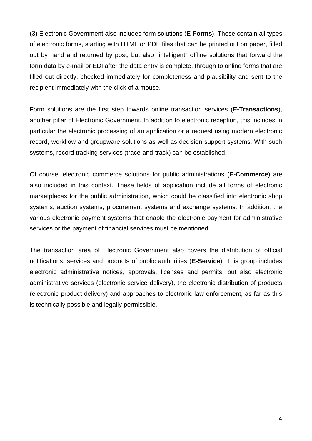(3) Electronic Government also includes form solutions (**E-Forms**). These contain all types of electronic forms, starting with HTML or PDF files that can be printed out on paper, filled out by hand and returned by post, but also "intelligent" offline solutions that forward the form data by e-mail or EDI after the data entry is complete, through to online forms that are filled out directly, checked immediately for completeness and plausibility and sent to the recipient immediately with the click of a mouse.

Form solutions are the first step towards online transaction services (**E-Transactions**), another pillar of Electronic Government. In addition to electronic reception, this includes in particular the electronic processing of an application or a request using modern electronic record, workflow and groupware solutions as well as decision support systems. With such systems, record tracking services (trace-and-track) can be established.

Of course, electronic commerce solutions for public administrations (**E-Commerce**) are also included in this context. These fields of application include all forms of electronic marketplaces for the public administration, which could be classified into electronic shop systems, auction systems, procurement systems and exchange systems. In addition, the various electronic payment systems that enable the electronic payment for administrative services or the payment of financial services must be mentioned.

The transaction area of Electronic Government also covers the distribution of official notifications, services and products of public authorities (**E-Service**). This group includes electronic administrative notices, approvals, licenses and permits, but also electronic administrative services (electronic service delivery), the electronic distribution of products (electronic product delivery) and approaches to electronic law enforcement, as far as this is technically possible and legally permissible.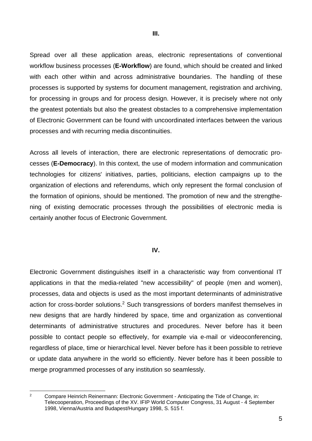**III.**

Spread over all these application areas, electronic representations of conventional workflow business processes (**E-Workflow**) are found, which should be created and linked with each other within and across administrative boundaries. The handling of these processes is supported by systems for document management, registration and archiving, for processing in groups and for process design. However, it is precisely where not only the greatest potentials but also the greatest obstacles to a comprehensive implementation of Electronic Government can be found with uncoordinated interfaces between the various processes and with recurring media discontinuities.

Across all levels of interaction, there are electronic representations of democratic processes (**E-Democracy**). In this context, the use of modern information and communication technologies for citizens' initiatives, parties, politicians, election campaigns up to the organization of elections and referendums, which only represent the formal conclusion of the formation of opinions, should be mentioned. The promotion of new and the strengthening of existing democratic processes through the possibilities of electronic media is certainly another focus of Electronic Government.

#### **IV.**

Electronic Government distinguishes itself in a characteristic way from conventional IT applications in that the media-related "new accessibility" of people (men and women), processes, data and objects is used as the most important determinants of administrative action for cross-border solutions.<sup>2</sup> Such transgressions of borders manifest themselves in new designs that are hardly hindered by space, time and organization as conventional determinants of administrative structures and procedures. Never before has it been possible to contact people so effectively, for example via e-mail or videoconferencing, regardless of place, time or hierarchical level. Never before has it been possible to retrieve or update data anywhere in the world so efficiently. Never before has it been possible to merge programmed processes of any institution so seamlessly.

<sup>&</sup>lt;sup>2</sup> Compare Heinrich Reinermann: Electronic Government - Anticipating the Tide of Change, in: Telecooperation, Proceedings of the XV. IFIP World Computer Congress, 31 August - 4 September 1998, Vienna/Austria and Budapest/Hungary 1998, S. 515 f.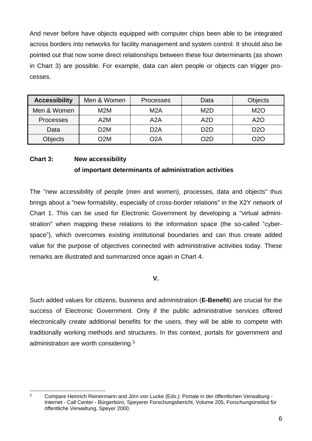And never before have objects equipped with computer chips been able to be integrated across borders into networks for facility management and system control. It should also be pointed out that now some direct relationships between these four determinants (as shown in Chart 3) are possible. For example, data can alert people or objects can trigger processes.

| <b>Accessibility</b> | Men & Women      | <b>Processes</b> | Data             | <b>Objects</b> |
|----------------------|------------------|------------------|------------------|----------------|
| Men & Women          | M <sub>2</sub> M | M2A              | M <sub>2</sub> D | M2O            |
| <b>Processes</b>     | A2M              | A2A              | A2D              | A2O            |
| Data                 | D <sub>2</sub> M | D <sub>2</sub> A | D <sub>2</sub> D | <b>D2O</b>     |
| Objects              | ገጋM              | O2A              | D2D              | ာ20            |

### **Chart 3: New accessibility of important determinants of administration activities**

The "new accessibility of people (men and women), processes, data and objects" thus brings about a "new formability, especially of cross-border relations" in the X2Y network of Chart 1. This can be used for Electronic Government by developing a "virtual administration" when mapping these relations to the information space (the so-called "cyberspace"), which overcomes existing institutional boundaries and can thus create added value for the purpose of objectives connected with administrative activities today. These remarks are illustrated and summarized once again in Chart 4.

#### **V.**

Such added values for citizens, business and administration (**E-Benefit**) are crucial for the success of Electronic Government. Only if the public administrative services offered electronically create additional benefits for the users, they will be able to compete with traditionally working methods and structures. In this context, portals for government and administration are worth considering. $3$ 

<sup>3</sup> Compare Heinrich Reinermann and Jörn von Lucke (Eds.): Portale in der öffentlichen Verwaltung - Internet - Call Center - Bürgerbüro, Speyerer Forschungsbericht, Volume 205, Forschungsinstitut für öffentliche Verwaltung, Speyer 2000.